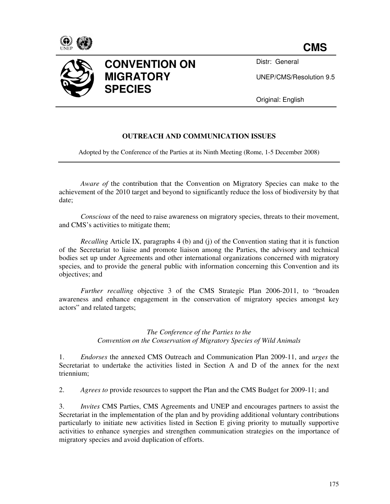



Distr: General

UNEP/CMS/Resolution 9.5

Original: English

## **OUTREACH AND COMMUNICATION ISSUES**

Adopted by the Conference of the Parties at its Ninth Meeting (Rome, 1-5 December 2008)

*Aware of* the contribution that the Convention on Migratory Species can make to the achievement of the 2010 target and beyond to significantly reduce the loss of biodiversity by that date;

*Conscious* of the need to raise awareness on migratory species, threats to their movement, and CMS's activities to mitigate them;

*Recalling* Article IX, paragraphs 4 (b) and (j) of the Convention stating that it is function of the Secretariat to liaise and promote liaison among the Parties, the advisory and technical bodies set up under Agreements and other international organizations concerned with migratory species, and to provide the general public with information concerning this Convention and its objectives; and

*Further recalling* objective 3 of the CMS Strategic Plan 2006-2011, to "broaden awareness and enhance engagement in the conservation of migratory species amongst key actors" and related targets;

> *The Conference of the Parties to the Convention on the Conservation of Migratory Species of Wild Animals*

1. *Endorses* the annexed CMS Outreach and Communication Plan 2009-11, and *urges* the Secretariat to undertake the activities listed in Section A and D of the annex for the next triennium;

2. *Agrees to* provide resources to support the Plan and the CMS Budget for 2009-11; and

3. *Invites* CMS Parties, CMS Agreements and UNEP and encourages partners to assist the Secretariat in the implementation of the plan and by providing additional voluntary contributions particularly to initiate new activities listed in Section E giving priority to mutually supportive activities to enhance synergies and strengthen communication strategies on the importance of migratory species and avoid duplication of efforts.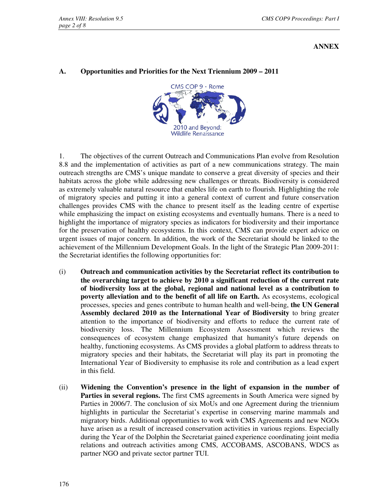#### **ANNEX**

## **A. Opportunities and Priorities for the Next Triennium 2009 – 2011**



1. The objectives of the current Outreach and Communications Plan evolve from Resolution 8.8 and the implementation of activities as part of a new communications strategy. The main outreach strengths are CMS's unique mandate to conserve a great diversity of species and their habitats across the globe while addressing new challenges or threats. Biodiversity is considered as extremely valuable natural resource that enables life on earth to flourish. Highlighting the role of migratory species and putting it into a general context of current and future conservation challenges provides CMS with the chance to present itself as the leading centre of expertise while emphasizing the impact on existing ecosystems and eventually humans. There is a need to highlight the importance of migratory species as indicators for biodiversity and their importance for the preservation of healthy ecosystems. In this context, CMS can provide expert advice on urgent issues of major concern. In addition, the work of the Secretariat should be linked to the achievement of the Millennium Development Goals. In the light of the Strategic Plan 2009-2011: the Secretariat identifies the following opportunities for:

- (i) **Outreach and communication activities by the Secretariat reflect its contribution to the overarching target to achieve by 2010 a significant reduction of the current rate of biodiversity loss at the global, regional and national level as a contribution to poverty alleviation and to the benefit of all life on Earth.** As ecosystems, ecological processes, species and genes contribute to human health and well-being, **the UN General Assembly declared 2010 as the International Year of Biodiversity** to bring greater attention to the importance of biodiversity and efforts to reduce the current rate of biodiversity loss. The Millennium Ecosystem Assessment which reviews the consequences of ecosystem change emphasized that humanity's future depends on healthy, functioning ecosystems. As CMS provides a global platform to address threats to migratory species and their habitats, the Secretariat will play its part in promoting the International Year of Biodiversity to emphasise its role and contribution as a lead expert in this field.
- (ii) **Widening the Convention's presence in the light of expansion in the number of Parties in several regions.** The first CMS agreements in South America were signed by Parties in 2006/7. The conclusion of six MoUs and one Agreement during the triennium highlights in particular the Secretariat's expertise in conserving marine mammals and migratory birds. Additional opportunities to work with CMS Agreements and new NGOs have arisen as a result of increased conservation activities in various regions. Especially during the Year of the Dolphin the Secretariat gained experience coordinating joint media relations and outreach activities among CMS, ACCOBAMS, ASCOBANS, WDCS as partner NGO and private sector partner TUI.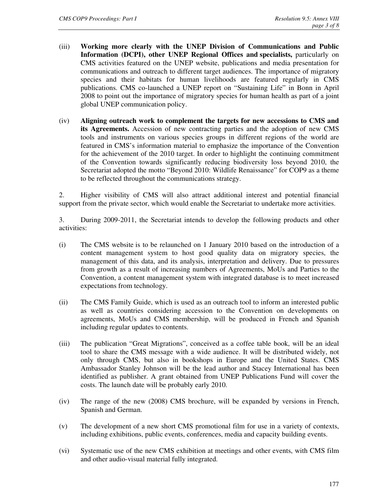- (iii) **Working more clearly with the UNEP Division of Communications and Public Information (DCPI), other UNEP Regional Offices and specialists,** particularly on CMS activities featured on the UNEP website, publications and media presentation for communications and outreach to different target audiences. The importance of migratory species and their habitats for human livelihoods are featured regularly in CMS publications. CMS co-launched a UNEP report on "Sustaining Life" in Bonn in April 2008 to point out the importance of migratory species for human health as part of a joint global UNEP communication policy.
- (iv) **Aligning outreach work to complement the targets for new accessions to CMS and its Agreements.** Accession of new contracting parties and the adoption of new CMS tools and instruments on various species groups in different regions of the world are featured in CMS's information material to emphasize the importance of the Convention for the achievement of the 2010 target. In order to highlight the continuing commitment of the Convention towards significantly reducing biodiversity loss beyond 2010, the Secretariat adopted the motto "Beyond 2010: Wildlife Renaissance" for COP9 as a theme to be reflected throughout the communications strategy.

2. Higher visibility of CMS will also attract additional interest and potential financial support from the private sector, which would enable the Secretariat to undertake more activities.

3. During 2009-2011, the Secretariat intends to develop the following products and other activities:

- (i) The CMS website is to be relaunched on 1 January 2010 based on the introduction of a content management system to host good quality data on migratory species, the management of this data, and its analysis, interpretation and delivery. Due to pressures from growth as a result of increasing numbers of Agreements, MoUs and Parties to the Convention, a content management system with integrated database is to meet increased expectations from technology.
- (ii) The CMS Family Guide, which is used as an outreach tool to inform an interested public as well as countries considering accession to the Convention on developments on agreements, MoUs and CMS membership, will be produced in French and Spanish including regular updates to contents.
- (iii) The publication "Great Migrations", conceived as a coffee table book, will be an ideal tool to share the CMS message with a wide audience. It will be distributed widely, not only through CMS, but also in bookshops in Europe and the United States. CMS Ambassador Stanley Johnson will be the lead author and Stacey International has been identified as publisher. A grant obtained from UNEP Publications Fund will cover the costs. The launch date will be probably early 2010.
- (iv) The range of the new (2008) CMS brochure, will be expanded by versions in French, Spanish and German.
- (v) The development of a new short CMS promotional film for use in a variety of contexts, including exhibitions, public events, conferences, media and capacity building events.
- (vi) Systematic use of the new CMS exhibition at meetings and other events, with CMS film and other audio-visual material fully integrated.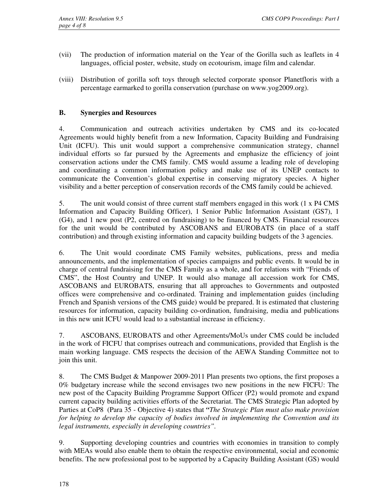- (vii) The production of information material on the Year of the Gorilla such as leaflets in 4 languages, official poster, website, study on ecotourism, image film and calendar.
- (viii) Distribution of gorilla soft toys through selected corporate sponsor Planetfloris with a percentage earmarked to gorilla conservation (purchase on www.yog2009.org).

## **B. Synergies and Resources**

4. Communication and outreach activities undertaken by CMS and its co-located Agreements would highly benefit from a new Information, Capacity Building and Fundraising Unit (ICFU). This unit would support a comprehensive communication strategy, channel individual efforts so far pursued by the Agreements and emphasize the efficiency of joint conservation actions under the CMS family. CMS would assume a leading role of developing and coordinating a common information policy and make use of its UNEP contacts to communicate the Convention's global expertise in conserving migratory species. A higher visibility and a better perception of conservation records of the CMS family could be achieved.

5. The unit would consist of three current staff members engaged in this work (1 x P4 CMS Information and Capacity Building Officer), 1 Senior Public Information Assistant (GS7), 1 (G4), and 1 new post (P2, centred on fundraising) to be financed by CMS. Financial resources for the unit would be contributed by ASCOBANS and EUROBATS (in place of a staff contribution) and through existing information and capacity building budgets of the 3 agencies.

6. The Unit would coordinate CMS Family websites, publications, press and media announcements, and the implementation of species campaigns and public events. It would be in charge of central fundraising for the CMS Family as a whole, and for relations with "Friends of CMS", the Host Country and UNEP. It would also manage all accession work for CMS, ASCOBANS and EUROBATS, ensuring that all approaches to Governments and outposted offices were comprehensive and co-ordinated. Training and implementation guides (including French and Spanish versions of the CMS guide) would be prepared. It is estimated that clustering resources for information, capacity building co-ordination, fundraising, media and publications in this new unit ICFU would lead to a substantial increase in efficiency.

7. ASCOBANS, EUROBATS and other Agreements/MoUs under CMS could be included in the work of FICFU that comprises outreach and communications, provided that English is the main working language. CMS respects the decision of the AEWA Standing Committee not to join this unit.

8. The CMS Budget & Manpower 2009-2011 Plan presents two options, the first proposes a 0% budgetary increase while the second envisages two new positions in the new FICFU: The new post of the Capacity Building Programme Support Officer (P2) would promote and expand current capacity building activities efforts of the Secretariat. The CMS Strategic Plan adopted by Parties at CoP8 (Para 35 - Objective 4) states that *"The Strategic Plan must also make provision for helping to develop the capacity of bodies involved in implementing the Convention and its legal instruments, especially in developing countries".*

9. Supporting developing countries and countries with economies in transition to comply with MEAs would also enable them to obtain the respective environmental, social and economic benefits. The new professional post to be supported by a Capacity Building Assistant (GS) would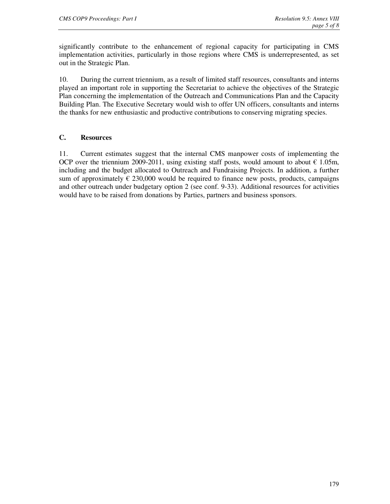significantly contribute to the enhancement of regional capacity for participating in CMS implementation activities, particularly in those regions where CMS is underrepresented, as set out in the Strategic Plan.

10. During the current triennium, as a result of limited staff resources, consultants and interns played an important role in supporting the Secretariat to achieve the objectives of the Strategic Plan concerning the implementation of the Outreach and Communications Plan and the Capacity Building Plan. The Executive Secretary would wish to offer UN officers, consultants and interns the thanks for new enthusiastic and productive contributions to conserving migrating species.

## **C. Resources**

11. Current estimates suggest that the internal CMS manpower costs of implementing the OCP over the triennium 2009-2011, using existing staff posts, would amount to about  $\epsilon$  1.05m, including and the budget allocated to Outreach and Fundraising Projects. In addition, a further sum of approximately  $\epsilon$  230,000 would be required to finance new posts, products, campaigns and other outreach under budgetary option 2 (see conf. 9-33). Additional resources for activities would have to be raised from donations by Parties, partners and business sponsors.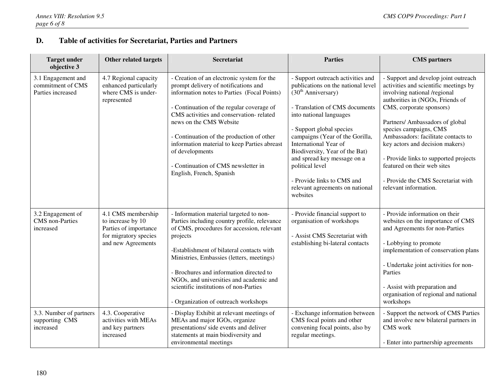# **D. Table of activities for Secretariat, Parties and Partners**

| <b>Target under</b><br>objective 3                           | Other related targets                                                                                           | <b>Secretariat</b>                                                                                                                                                                                                                                                                                                                                                                                                                      | <b>Parties</b>                                                                                                                                                                                                                                                                                                                                                                                                        | <b>CMS</b> partners                                                                                                                                                                                                                                                                                                                                                                                                                                         |
|--------------------------------------------------------------|-----------------------------------------------------------------------------------------------------------------|-----------------------------------------------------------------------------------------------------------------------------------------------------------------------------------------------------------------------------------------------------------------------------------------------------------------------------------------------------------------------------------------------------------------------------------------|-----------------------------------------------------------------------------------------------------------------------------------------------------------------------------------------------------------------------------------------------------------------------------------------------------------------------------------------------------------------------------------------------------------------------|-------------------------------------------------------------------------------------------------------------------------------------------------------------------------------------------------------------------------------------------------------------------------------------------------------------------------------------------------------------------------------------------------------------------------------------------------------------|
| 3.1 Engagement and<br>commitment of CMS<br>Parties increased | 4.7 Regional capacity<br>enhanced particularly<br>where CMS is under-<br>represented                            | - Creation of an electronic system for the<br>prompt delivery of notifications and<br>information notes to Parties (Focal Points)<br>- Continuation of the regular coverage of<br>CMS activities and conservation-related<br>news on the CMS Website<br>- Continuation of the production of other<br>information material to keep Parties abreast<br>of developments<br>- Continuation of CMS newsletter in<br>English, French, Spanish | - Support outreach activities and<br>publications on the national level<br>$(30th$ Anniversary)<br>- Translation of CMS documents<br>into national languages<br>- Support global species<br>campaigns (Year of the Gorilla,<br>International Year of<br>Biodiversity, Year of the Bat)<br>and spread key message on a<br>political level<br>- Provide links to CMS and<br>relevant agreements on national<br>websites | - Support and develop joint outreach<br>activities and scientific meetings by<br>involving national /regional<br>authorities in (NGOs, Friends of<br>CMS, corporate sponsors)<br>Partners/ Ambassadors of global<br>species campaigns, CMS<br>Ambassadors: facilitate contacts to<br>key actors and decision makers)<br>- Provide links to supported projects<br>featured on their web sites<br>- Provide the CMS Secretariat with<br>relevant information. |
| 3.2 Engagement of<br><b>CMS</b> non-Parties<br>increased     | 4.1 CMS membership<br>to increase by 10<br>Parties of importance<br>for migratory species<br>and new Agreements | - Information material targeted to non-<br>Parties including country profile, relevance<br>of CMS, procedures for accession, relevant<br>projects<br>-Establishment of bilateral contacts with<br>Ministries, Embassies (letters, meetings)<br>- Brochures and information directed to<br>NGOs, and universities and academic and<br>scientific institutions of non-Parties<br>- Organization of outreach workshops                     | - Provide financial support to<br>organisation of workshops<br>- Assist CMS Secretariat with<br>establishing bi-lateral contacts                                                                                                                                                                                                                                                                                      | - Provide information on their<br>websites on the importance of CMS<br>and Agreements for non-Parties<br>- Lobbying to promote<br>implementation of conservation plans<br>- Undertake joint activities for non-<br>Parties<br>- Assist with preparation and<br>organisation of regional and national<br>workshops                                                                                                                                           |
| 3.3. Number of partners<br>supporting CMS<br>increased       | 4.3. Cooperative<br>activities with MEAs<br>and key partners<br>increased                                       | - Display Exhibit at relevant meetings of<br>MEAs and major IGOs, organize<br>presentations/ side events and deliver<br>statements at main biodiversity and<br>environmental meetings                                                                                                                                                                                                                                                   | - Exchange information between<br>CMS focal points and other<br>convening focal points, also by<br>regular meetings.                                                                                                                                                                                                                                                                                                  | - Support the network of CMS Parties<br>and involve new bilateral partners in<br>CMS work<br>- Enter into partnership agreements                                                                                                                                                                                                                                                                                                                            |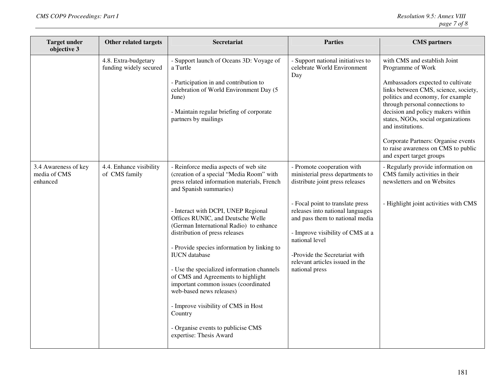| <b>Target under</b><br>objective 3               | Other related targets                          | Secretariat                                                                                                                                                                                                                                                                                                                                                                                                                                                                                                                                                                                                                                                           | <b>Parties</b>                                                                                                                                                                                                                                                                                                                                           | <b>CMS</b> partners                                                                                                                                                                                                                                                                                                                                                                                              |
|--------------------------------------------------|------------------------------------------------|-----------------------------------------------------------------------------------------------------------------------------------------------------------------------------------------------------------------------------------------------------------------------------------------------------------------------------------------------------------------------------------------------------------------------------------------------------------------------------------------------------------------------------------------------------------------------------------------------------------------------------------------------------------------------|----------------------------------------------------------------------------------------------------------------------------------------------------------------------------------------------------------------------------------------------------------------------------------------------------------------------------------------------------------|------------------------------------------------------------------------------------------------------------------------------------------------------------------------------------------------------------------------------------------------------------------------------------------------------------------------------------------------------------------------------------------------------------------|
|                                                  | 4.8. Extra-budgetary<br>funding widely secured | - Support launch of Oceans 3D: Voyage of<br>a Turtle<br>- Participation in and contribution to<br>celebration of World Environment Day (5<br>June)<br>- Maintain regular briefing of corporate<br>partners by mailings                                                                                                                                                                                                                                                                                                                                                                                                                                                | - Support national initiatives to<br>celebrate World Environment<br>Day                                                                                                                                                                                                                                                                                  | with CMS and establish Joint<br>Programme of Work<br>Ambassadors expected to cultivate<br>links between CMS, science, society,<br>politics and economy, for example<br>through personal connections to<br>decision and policy makers within<br>states, NGOs, social organizations<br>and institutions.<br>Corporate Partners: Organise events<br>to raise awareness on CMS to public<br>and expert target groups |
| 3.4 Awareness of key<br>media of CMS<br>enhanced | 4.4. Enhance visibility<br>of CMS family       | - Reinforce media aspects of web site<br>(creation of a special "Media Room" with<br>press related information materials, French<br>and Spanish summaries)<br>- Interact with DCPI, UNEP Regional<br>Offices RUNIC, and Deutsche Welle<br>(German International Radio) to enhance<br>distribution of press releases<br>- Provide species information by linking to<br><b>IUCN</b> database<br>- Use the specialized information channels<br>of CMS and Agreements to highlight<br>important common issues (coordinated<br>web-based news releases)<br>- Improve visibility of CMS in Host<br>Country<br>- Organise events to publicise CMS<br>expertise: Thesis Award | - Promote cooperation with<br>ministerial press departments to<br>distribute joint press releases<br>- Focal point to translate press<br>releases into national languages<br>and pass them to national media<br>- Improve visibility of CMS at a<br>national level<br>-Provide the Secretariat with<br>relevant articles issued in the<br>national press | - Regularly provide information on<br>CMS family activities in their<br>newsletters and on Websites<br>- Highlight joint activities with CMS                                                                                                                                                                                                                                                                     |